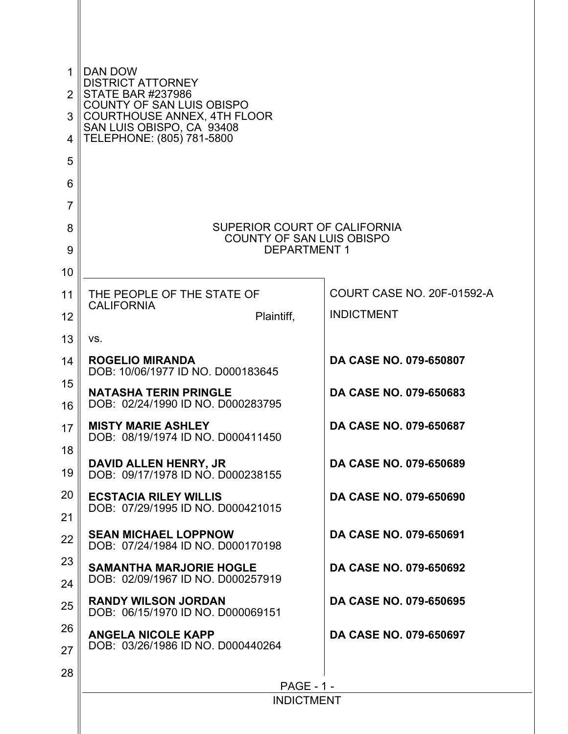| 1<br>$\overline{2}$<br>3<br>4<br>5 | DAN DOW<br><b>DISTRICT ATTORNEY</b><br><b>STATE BAR #237986</b><br>COUNTY OF SAN LUIS OBISPO<br>COURTHOUSE ANNEX, 4TH FLOOR<br>SAN LUIS OBISPO, CA 93408<br>TELEPHONE: (805) 781-5800 |                               |  |  |  |  |  |  |
|------------------------------------|---------------------------------------------------------------------------------------------------------------------------------------------------------------------------------------|-------------------------------|--|--|--|--|--|--|
| 6<br>$\overline{7}$                |                                                                                                                                                                                       |                               |  |  |  |  |  |  |
| 8                                  | SUPERIOR COURT OF CALIFORNIA                                                                                                                                                          |                               |  |  |  |  |  |  |
| 9                                  | <b>COUNTY OF SAN LUIS OBISPO</b><br><b>DEPARTMENT 1</b>                                                                                                                               |                               |  |  |  |  |  |  |
| 10                                 |                                                                                                                                                                                       |                               |  |  |  |  |  |  |
| 11                                 | THE PEOPLE OF THE STATE OF<br><b>CALIFORNIA</b>                                                                                                                                       | COURT CASE NO. 20F-01592-A    |  |  |  |  |  |  |
| 12                                 | Plaintiff,                                                                                                                                                                            | <b>INDICTMENT</b>             |  |  |  |  |  |  |
| 13                                 | VS.                                                                                                                                                                                   |                               |  |  |  |  |  |  |
| 14                                 | <b>ROGELIO MIRANDA</b><br>DOB: 10/06/1977 ID NO. D000183645                                                                                                                           | <b>DA CASE NO. 079-650807</b> |  |  |  |  |  |  |
| 15<br>16                           | <b>NATASHA TERIN PRINGLE</b><br>DOB: 02/24/1990 ID NO. D000283795                                                                                                                     | DA CASE NO. 079-650683        |  |  |  |  |  |  |
| 17                                 | <b>MISTY MARIE ASHLEY</b><br>DOB: 08/19/1974 ID NO. D000411450                                                                                                                        | DA CASE NO. 079-650687        |  |  |  |  |  |  |
| 18                                 |                                                                                                                                                                                       |                               |  |  |  |  |  |  |
| 19                                 | DAVID ALLEN HENRY, JR<br>DOB: 09/17/1978 ID NO. D000238155                                                                                                                            | <b>DA CASE NO. 079-650689</b> |  |  |  |  |  |  |
| 20                                 | <b>ECSTACIA RILEY WILLIS</b><br>DOB: 07/29/1995 ID NO. D000421015                                                                                                                     | <b>DA CASE NO. 079-650690</b> |  |  |  |  |  |  |
| 21                                 |                                                                                                                                                                                       |                               |  |  |  |  |  |  |
| 22                                 | <b>SEAN MICHAEL LOPPNOW</b><br>DOB: 07/24/1984 ID NO. D000170198                                                                                                                      | DA CASE NO. 079-650691        |  |  |  |  |  |  |
| 23                                 | <b>SAMANTHA MARJORIE HOGLE</b><br>DOB: 02/09/1967 ID NO. D000257919                                                                                                                   | DA CASE NO. 079-650692        |  |  |  |  |  |  |
| 24                                 | <b>RANDY WILSON JORDAN</b>                                                                                                                                                            | DA CASE NO. 079-650695        |  |  |  |  |  |  |
| 25                                 | DOB: 06/15/1970 ID NO. D000069151                                                                                                                                                     |                               |  |  |  |  |  |  |
| 26<br>27                           | <b>ANGELA NICOLE KAPP</b><br>DOB: 03/26/1986 ID NO. D000440264                                                                                                                        | DA CASE NO. 079-650697        |  |  |  |  |  |  |
| 28                                 |                                                                                                                                                                                       |                               |  |  |  |  |  |  |
|                                    | <b>PAGE - 1 -</b>                                                                                                                                                                     |                               |  |  |  |  |  |  |
|                                    | <b>INDICTMENT</b>                                                                                                                                                                     |                               |  |  |  |  |  |  |
|                                    |                                                                                                                                                                                       |                               |  |  |  |  |  |  |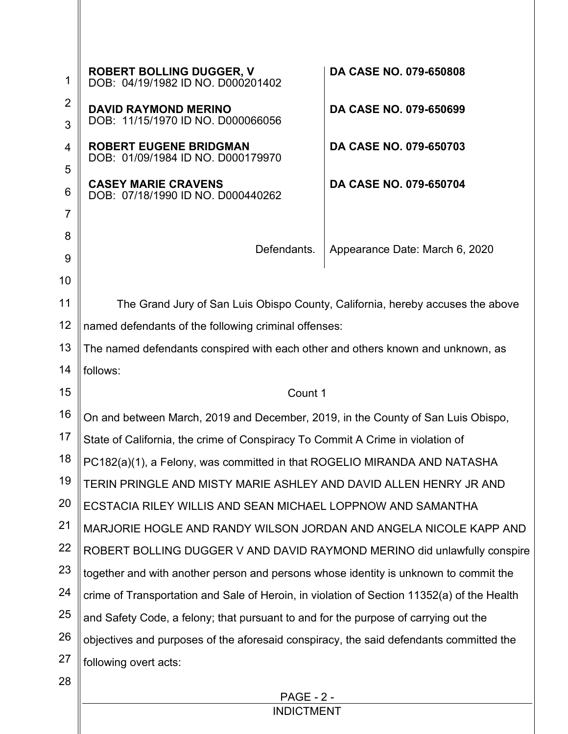| 1                   | <b>ROBERT BOLLING DUGGER, V</b><br>DOB: 04/19/1982 ID NO. D000201402                       | DA CASE NO. 079-650808         |  |  |  |
|---------------------|--------------------------------------------------------------------------------------------|--------------------------------|--|--|--|
| $\overline{2}$<br>3 | <b>DAVID RAYMOND MERINO</b><br>DOB: 11/15/1970 ID NO. D000066056                           | DA CASE NO. 079-650699         |  |  |  |
| 4                   | <b>ROBERT EUGENE BRIDGMAN</b>                                                              | DA CASE NO. 079-650703         |  |  |  |
| 5                   | DOB: 01/09/1984 ID NO. D000179970                                                          |                                |  |  |  |
| 6                   | <b>CASEY MARIE CRAVENS</b><br>DOB: 07/18/1990 ID NO. D000440262                            | DA CASE NO. 079-650704         |  |  |  |
| $\overline{7}$      |                                                                                            |                                |  |  |  |
| 8                   |                                                                                            |                                |  |  |  |
| 9                   | Defendants.                                                                                | Appearance Date: March 6, 2020 |  |  |  |
| 10                  |                                                                                            |                                |  |  |  |
| 11                  | The Grand Jury of San Luis Obispo County, California, hereby accuses the above             |                                |  |  |  |
| 12                  | named defendants of the following criminal offenses:                                       |                                |  |  |  |
| 13                  | The named defendants conspired with each other and others known and unknown, as            |                                |  |  |  |
| 14                  | follows:                                                                                   |                                |  |  |  |
| 15                  | Count 1                                                                                    |                                |  |  |  |
| 16                  | On and between March, 2019 and December, 2019, in the County of San Luis Obispo,           |                                |  |  |  |
| 17                  | State of California, the crime of Conspiracy To Commit A Crime in violation of             |                                |  |  |  |
| 18                  | PC182(a)(1), a Felony, was committed in that ROGELIO MIRANDA AND NATASHA                   |                                |  |  |  |
| 19                  | TERIN PRINGLE AND MISTY MARIE ASHLEY AND DAVID ALLEN HENRY JR AND                          |                                |  |  |  |
| 20                  | ECSTACIA RILEY WILLIS AND SEAN MICHAEL LOPPNOW AND SAMANTHA                                |                                |  |  |  |
| 21                  | MARJORIE HOGLE AND RANDY WILSON JORDAN AND ANGELA NICOLE KAPP AND                          |                                |  |  |  |
| 22                  | ROBERT BOLLING DUGGER V AND DAVID RAYMOND MERINO did unlawfully conspire                   |                                |  |  |  |
| 23                  | together and with another person and persons whose identity is unknown to commit the       |                                |  |  |  |
| 24                  | crime of Transportation and Sale of Heroin, in violation of Section 11352(a) of the Health |                                |  |  |  |
| 25                  | and Safety Code, a felony; that pursuant to and for the purpose of carrying out the        |                                |  |  |  |
| 26                  | objectives and purposes of the aforesaid conspiracy, the said defendants committed the     |                                |  |  |  |
| 27                  | following overt acts:                                                                      |                                |  |  |  |
| 28                  |                                                                                            |                                |  |  |  |

PAGE - 2 - INDICTMENT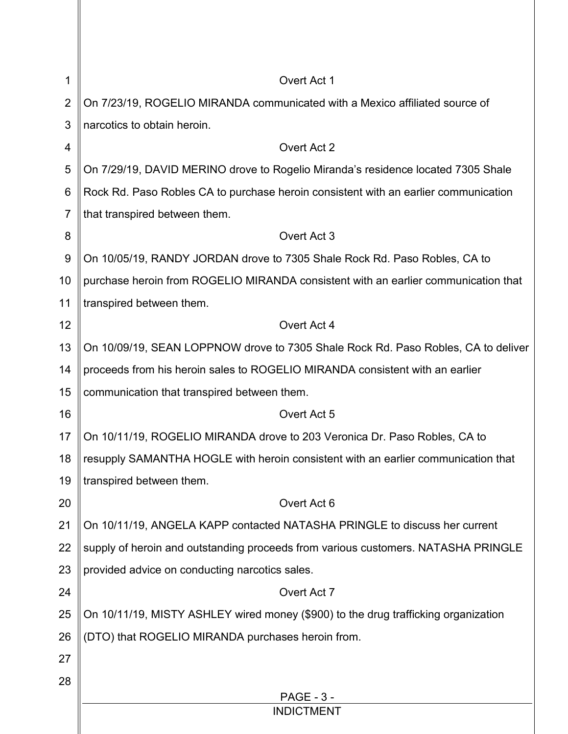| 1              | Overt Act 1                                                                         |
|----------------|-------------------------------------------------------------------------------------|
| $\overline{2}$ | On 7/23/19, ROGELIO MIRANDA communicated with a Mexico affiliated source of         |
| 3              | narcotics to obtain heroin.                                                         |
| 4              | Overt Act 2                                                                         |
| 5              | On 7/29/19, DAVID MERINO drove to Rogelio Miranda's residence located 7305 Shale    |
| 6              | Rock Rd. Paso Robles CA to purchase heroin consistent with an earlier communication |
| 7              | that transpired between them.                                                       |
| 8              | Overt Act 3                                                                         |
| 9              | On 10/05/19, RANDY JORDAN drove to 7305 Shale Rock Rd. Paso Robles, CA to           |
| 10             | purchase heroin from ROGELIO MIRANDA consistent with an earlier communication that  |
| 11             | transpired between them.                                                            |
| 12             | Overt Act 4                                                                         |
| 13             | On 10/09/19, SEAN LOPPNOW drove to 7305 Shale Rock Rd. Paso Robles, CA to deliver   |
| 14             | proceeds from his heroin sales to ROGELIO MIRANDA consistent with an earlier        |
| 15             | communication that transpired between them.                                         |
| 16             | Overt Act 5                                                                         |
| 17             | On 10/11/19, ROGELIO MIRANDA drove to 203 Veronica Dr. Paso Robles, CA to           |
| 18             | resupply SAMANTHA HOGLE with heroin consistent with an earlier communication that   |
| 19             | transpired between them.                                                            |
| 20             | Overt Act 6                                                                         |
| 21             | On 10/11/19, ANGELA KAPP contacted NATASHA PRINGLE to discuss her current           |
| 22             | supply of heroin and outstanding proceeds from various customers. NATASHA PRINGLE   |
| 23             | provided advice on conducting narcotics sales.                                      |
| 24             | Overt Act 7                                                                         |
| 25             | On 10/11/19, MISTY ASHLEY wired money (\$900) to the drug trafficking organization  |
| 26             | (DTO) that ROGELIO MIRANDA purchases heroin from.                                   |
| 27             |                                                                                     |
| 28             |                                                                                     |
|                | <b>PAGE - 3 -</b><br><b>INDICTMENT</b>                                              |
|                |                                                                                     |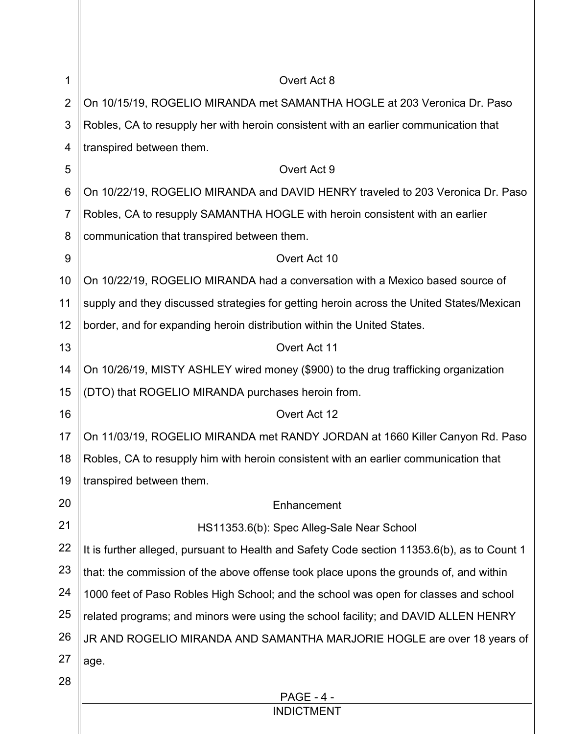| 1              | Overt Act 8                                                                                 |
|----------------|---------------------------------------------------------------------------------------------|
| $\overline{2}$ | On 10/15/19, ROGELIO MIRANDA met SAMANTHA HOGLE at 203 Veronica Dr. Paso                    |
| 3              | Robles, CA to resupply her with heroin consistent with an earlier communication that        |
| 4              | transpired between them.                                                                    |
| 5              | Overt Act 9                                                                                 |
| 6              | On 10/22/19, ROGELIO MIRANDA and DAVID HENRY traveled to 203 Veronica Dr. Paso              |
| $\overline{7}$ | Robles, CA to resupply SAMANTHA HOGLE with heroin consistent with an earlier                |
| 8              | communication that transpired between them.                                                 |
| 9              | Overt Act 10                                                                                |
| 10             | On 10/22/19, ROGELIO MIRANDA had a conversation with a Mexico based source of               |
| 11             | supply and they discussed strategies for getting heroin across the United States/Mexican    |
| 12             | border, and for expanding heroin distribution within the United States.                     |
| 13             | Overt Act 11                                                                                |
| 14             | On 10/26/19, MISTY ASHLEY wired money (\$900) to the drug trafficking organization          |
| 15             | (DTO) that ROGELIO MIRANDA purchases heroin from.                                           |
| 16             | Overt Act 12                                                                                |
| 17             | On 11/03/19, ROGELIO MIRANDA met RANDY JORDAN at 1660 Killer Canyon Rd. Paso                |
| 18             | Robles, CA to resupply him with heroin consistent with an earlier communication that        |
| 19             | transpired between them.                                                                    |
| 20             | Enhancement                                                                                 |
| 21             | HS11353.6(b): Spec Alleg-Sale Near School                                                   |
| 22             | It is further alleged, pursuant to Health and Safety Code section 11353.6(b), as to Count 1 |
| 23             | that: the commission of the above offense took place upons the grounds of, and within       |
| 24             | 1000 feet of Paso Robles High School; and the school was open for classes and school        |
| 25             | related programs; and minors were using the school facility; and DAVID ALLEN HENRY          |
| 26             | JR AND ROGELIO MIRANDA AND SAMANTHA MARJORIE HOGLE are over 18 years of                     |
| 27             | age.                                                                                        |
| 28             |                                                                                             |
|                | <b>PAGE - 4 -</b>                                                                           |

## INDICTMENT

║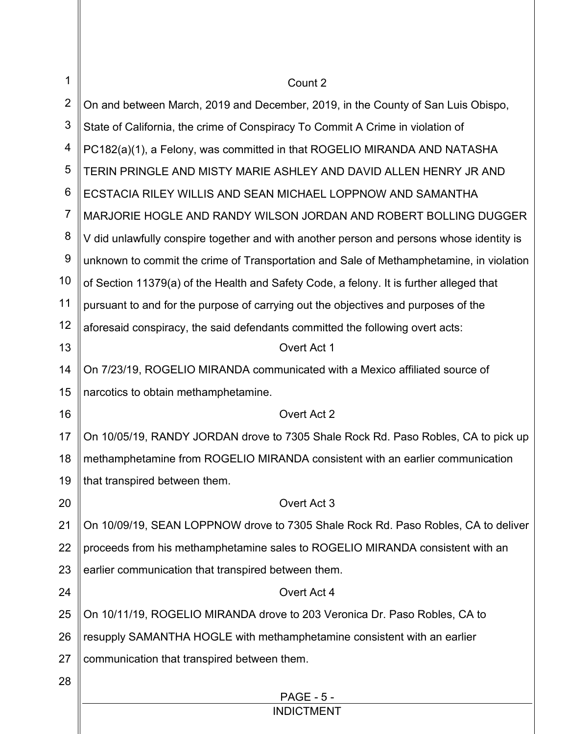| 1              | Count 2                                                                                  |
|----------------|------------------------------------------------------------------------------------------|
| $\overline{2}$ | On and between March, 2019 and December, 2019, in the County of San Luis Obispo,         |
| 3              | State of California, the crime of Conspiracy To Commit A Crime in violation of           |
| 4              | PC182(a)(1), a Felony, was committed in that ROGELIO MIRANDA AND NATASHA                 |
| 5              | TERIN PRINGLE AND MISTY MARIE ASHLEY AND DAVID ALLEN HENRY JR AND                        |
| 6              | ECSTACIA RILEY WILLIS AND SEAN MICHAEL LOPPNOW AND SAMANTHA                              |
| $\overline{7}$ | MARJORIE HOGLE AND RANDY WILSON JORDAN AND ROBERT BOLLING DUGGER                         |
| 8              | V did unlawfully conspire together and with another person and persons whose identity is |
| 9              | unknown to commit the crime of Transportation and Sale of Methamphetamine, in violation  |
| 10             | of Section 11379(a) of the Health and Safety Code, a felony. It is further alleged that  |
| 11             | pursuant to and for the purpose of carrying out the objectives and purposes of the       |
| 12             | aforesaid conspiracy, the said defendants committed the following overt acts:            |
| 13             | Overt Act 1                                                                              |
| 14             | On 7/23/19, ROGELIO MIRANDA communicated with a Mexico affiliated source of              |
| 15             | narcotics to obtain methamphetamine.                                                     |
| 16             | Overt Act 2                                                                              |
| 17             | On 10/05/19, RANDY JORDAN drove to 7305 Shale Rock Rd. Paso Robles, CA to pick up        |
| 18             | methamphetamine from ROGELIO MIRANDA consistent with an earlier communication            |
| 19             | that transpired between them.                                                            |
| 20             | Overt Act 3                                                                              |
| 21             | On 10/09/19, SEAN LOPPNOW drove to 7305 Shale Rock Rd. Paso Robles, CA to deliver        |
| 22             | proceeds from his methamphetamine sales to ROGELIO MIRANDA consistent with an            |
| 23             | earlier communication that transpired between them.                                      |
| 24             | Overt Act 4                                                                              |
| 25             | On 10/11/19, ROGELIO MIRANDA drove to 203 Veronica Dr. Paso Robles, CA to                |
| 26             | resupply SAMANTHA HOGLE with methamphetamine consistent with an earlier                  |
| 27             | communication that transpired between them.                                              |
| 28             |                                                                                          |
|                | <b>PAGE - 5 -</b><br><b>INDICTMENT</b>                                                   |
|                |                                                                                          |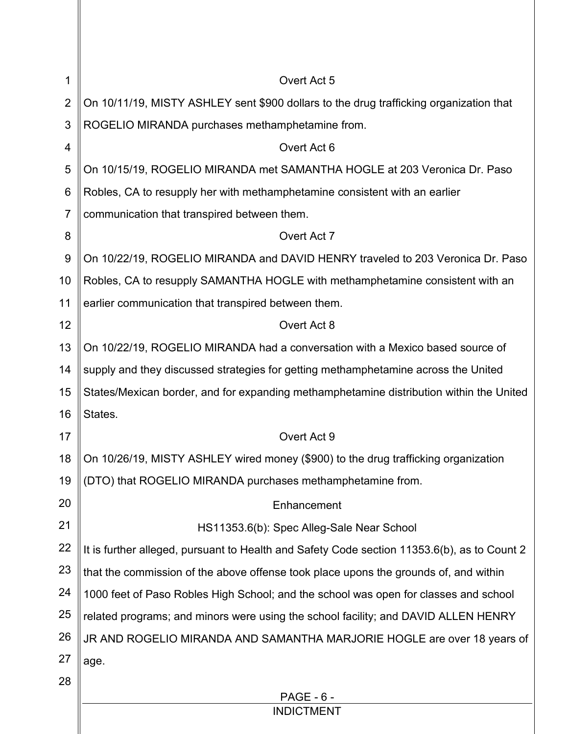| 1              | Overt Act 5                                                                                 |
|----------------|---------------------------------------------------------------------------------------------|
| $\overline{2}$ | On 10/11/19, MISTY ASHLEY sent \$900 dollars to the drug trafficking organization that      |
| 3              | ROGELIO MIRANDA purchases methamphetamine from.                                             |
| 4              | Overt Act 6                                                                                 |
| 5              | On 10/15/19, ROGELIO MIRANDA met SAMANTHA HOGLE at 203 Veronica Dr. Paso                    |
| 6              | Robles, CA to resupply her with methamphetamine consistent with an earlier                  |
| $\overline{7}$ | communication that transpired between them.                                                 |
| 8              | Overt Act 7                                                                                 |
| 9              | On 10/22/19, ROGELIO MIRANDA and DAVID HENRY traveled to 203 Veronica Dr. Paso              |
| 10             | Robles, CA to resupply SAMANTHA HOGLE with methamphetamine consistent with an               |
| 11             | earlier communication that transpired between them.                                         |
| 12             | Overt Act 8                                                                                 |
| 13             | On 10/22/19, ROGELIO MIRANDA had a conversation with a Mexico based source of               |
| 14             | supply and they discussed strategies for getting methamphetamine across the United          |
| 15             | States/Mexican border, and for expanding methamphetamine distribution within the United     |
| 16             | States.                                                                                     |
| 17             | Overt Act 9                                                                                 |
| 18             | On 10/26/19, MISTY ASHLEY wired money (\$900) to the drug trafficking organization          |
| 19             | (DTO) that ROGELIO MIRANDA purchases methamphetamine from.                                  |
| 20             | Enhancement                                                                                 |
| 21             | HS11353.6(b): Spec Alleg-Sale Near School                                                   |
| 22             | It is further alleged, pursuant to Health and Safety Code section 11353.6(b), as to Count 2 |
| 23             | that the commission of the above offense took place upons the grounds of, and within        |
| 24             | 1000 feet of Paso Robles High School; and the school was open for classes and school        |
| 25             | related programs; and minors were using the school facility; and DAVID ALLEN HENRY          |
| 26             | JR AND ROGELIO MIRANDA AND SAMANTHA MARJORIE HOGLE are over 18 years of                     |
| 27             | age.                                                                                        |
| 28             |                                                                                             |
|                | <b>PAGE - 6 -</b><br><b>INDICTMENT</b>                                                      |
|                |                                                                                             |

 $\mathbb I$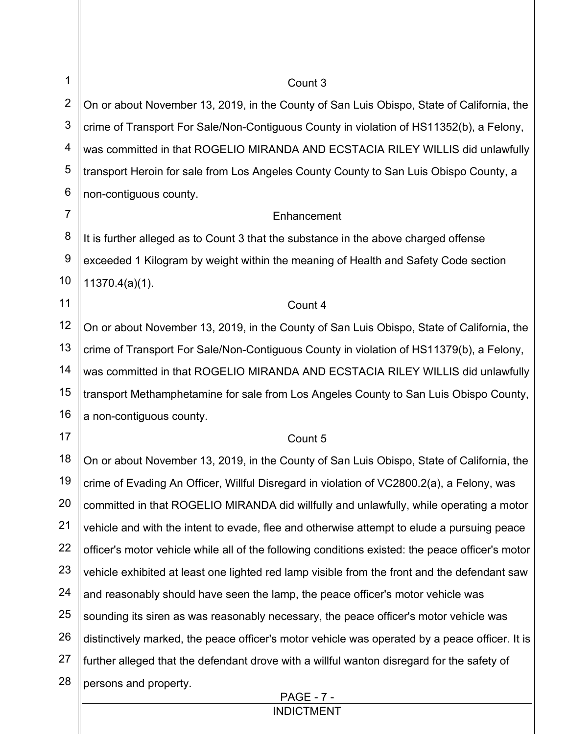| 1              | Count 3                                                                                          |
|----------------|--------------------------------------------------------------------------------------------------|
| $\overline{2}$ | On or about November 13, 2019, in the County of San Luis Obispo, State of California, the        |
| $\mathfrak{S}$ | crime of Transport For Sale/Non-Contiguous County in violation of HS11352(b), a Felony,          |
| 4              | was committed in that ROGELIO MIRANDA AND ECSTACIA RILEY WILLIS did unlawfully                   |
| 5              | transport Heroin for sale from Los Angeles County County to San Luis Obispo County, a            |
| 6              | non-contiguous county.                                                                           |
| $\overline{7}$ | Enhancement                                                                                      |
| 8              | It is further alleged as to Count 3 that the substance in the above charged offense              |
| 9              | exceeded 1 Kilogram by weight within the meaning of Health and Safety Code section               |
| 10             | $11370.4(a)(1)$ .                                                                                |
| 11             | Count 4                                                                                          |
| 12             | On or about November 13, 2019, in the County of San Luis Obispo, State of California, the        |
| 13             | crime of Transport For Sale/Non-Contiguous County in violation of HS11379(b), a Felony,          |
| 14             | was committed in that ROGELIO MIRANDA AND ECSTACIA RILEY WILLIS did unlawfully                   |
| 15             | transport Methamphetamine for sale from Los Angeles County to San Luis Obispo County,            |
| 16             | a non-contiguous county.                                                                         |
| 17             | Count 5                                                                                          |
| 18             | On or about November 13, 2019, in the County of San Luis Obispo, State of California, the        |
| 19             | crime of Evading An Officer, Willful Disregard in violation of VC2800.2(a), a Felony, was        |
| 20             | committed in that ROGELIO MIRANDA did willfully and unlawfully, while operating a motor          |
| 21             | vehicle and with the intent to evade, flee and otherwise attempt to elude a pursuing peace       |
| 22             | officer's motor vehicle while all of the following conditions existed: the peace officer's motor |
| 23             | vehicle exhibited at least one lighted red lamp visible from the front and the defendant saw     |
| 24             | and reasonably should have seen the lamp, the peace officer's motor vehicle was                  |
| 25             | sounding its siren as was reasonably necessary, the peace officer's motor vehicle was            |
| 26             | distinctively marked, the peace officer's motor vehicle was operated by a peace officer. It is   |
| 27             | further alleged that the defendant drove with a willful wanton disregard for the safety of       |
| 28             | persons and property.                                                                            |
|                | <b>PAGE - 7 -</b>                                                                                |

INDICTMENT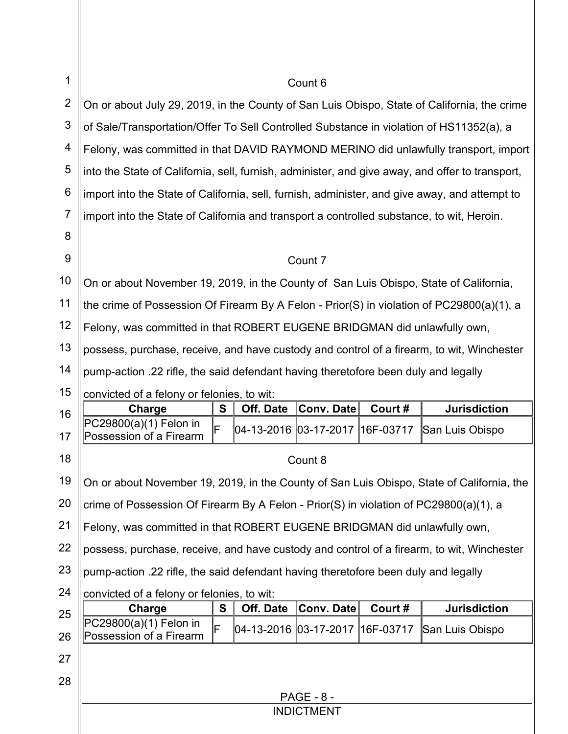| 1              | Count 6                                                                                         |   |           |                   |        |                     |
|----------------|-------------------------------------------------------------------------------------------------|---|-----------|-------------------|--------|---------------------|
| $\overline{2}$ | On or about July 29, 2019, in the County of San Luis Obispo, State of California, the crime     |   |           |                   |        |                     |
| 3              | of Sale/Transportation/Offer To Sell Controlled Substance in violation of HS11352(a), a         |   |           |                   |        |                     |
| 4              | Felony, was committed in that DAVID RAYMOND MERINO did unlawfully transport, import             |   |           |                   |        |                     |
| 5              | into the State of California, sell, furnish, administer, and give away, and offer to transport, |   |           |                   |        |                     |
| 6              | import into the State of California, sell, furnish, administer, and give away, and attempt to   |   |           |                   |        |                     |
| $\overline{7}$ | import into the State of California and transport a controlled substance, to wit, Heroin.       |   |           |                   |        |                     |
| 8              |                                                                                                 |   |           |                   |        |                     |
| 9              |                                                                                                 |   |           | Count 7           |        |                     |
| 10             | On or about November 19, 2019, in the County of San Luis Obispo, State of California,           |   |           |                   |        |                     |
| 11             | the crime of Possession Of Firearm By A Felon - Prior(S) in violation of $PC29800(a)(1)$ , a    |   |           |                   |        |                     |
| 12             | Felony, was committed in that ROBERT EUGENE BRIDGMAN did unlawfully own,                        |   |           |                   |        |                     |
| 13             | possess, purchase, receive, and have custody and control of a firearm, to wit, Winchester       |   |           |                   |        |                     |
| 14             | pump-action .22 rifle, the said defendant having theretofore been duly and legally              |   |           |                   |        |                     |
| 15             | convicted of a felony or felonies, to wit:                                                      |   |           |                   |        |                     |
|                |                                                                                                 |   |           |                   |        |                     |
| 16             | Charge                                                                                          | S | Off. Date | Conv. Date        | Court# | <b>Jurisdiction</b> |
| 17             | PC29800(a)(1) Felon in<br>F<br>Possession of a Firearm                                          |   |           |                   |        | San Luis Obispo     |
| 18             |                                                                                                 |   |           | Count 8           |        |                     |
| 19             | On or about November 19, 2019, in the County of San Luis Obispo, State of California, the       |   |           |                   |        |                     |
| 20             | crime of Possession Of Firearm By A Felon - Prior(S) in violation of PC29800(a)(1), a           |   |           |                   |        |                     |
| 21             | Felony, was committed in that ROBERT EUGENE BRIDGMAN did unlawfully own,                        |   |           |                   |        |                     |
| 22             | possess, purchase, receive, and have custody and control of a firearm, to wit, Winchester       |   |           |                   |        |                     |
| 23             | pump-action .22 rifle, the said defendant having theretofore been duly and legally              |   |           |                   |        |                     |
| 24             | convicted of a felony or felonies, to wit:                                                      |   |           |                   |        |                     |
| 25             | Charge                                                                                          | S | Off. Date | Conv. Date        | Court# | <b>Jurisdiction</b> |
| 26             | PC29800(a)(1) Felon in<br>Possession of a Firearm                                               |   |           |                   |        | San Luis Obispo     |
| 27             |                                                                                                 |   |           |                   |        |                     |
| 28             |                                                                                                 |   |           |                   |        |                     |
|                |                                                                                                 |   |           | <b>PAGE - 8 -</b> |        |                     |
|                |                                                                                                 |   |           | <b>INDICTMENT</b> |        |                     |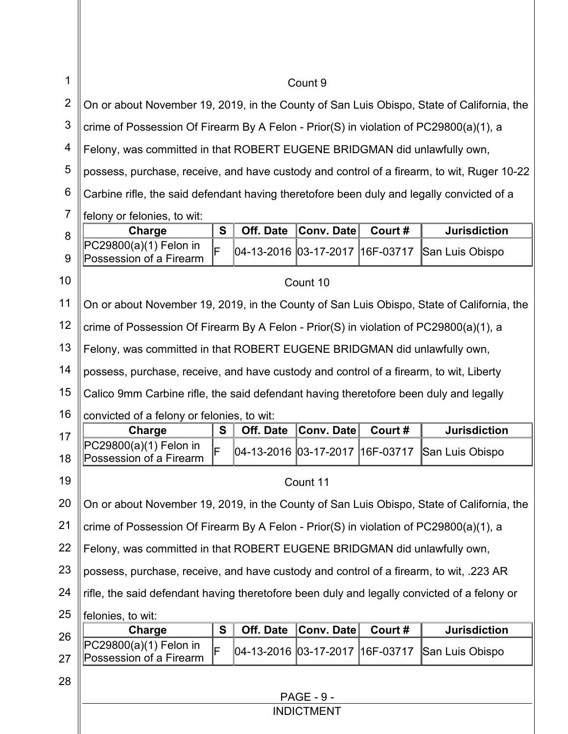| 1              | Count 9                                                                                     |   |           |                   |        |                     |
|----------------|---------------------------------------------------------------------------------------------|---|-----------|-------------------|--------|---------------------|
| $\overline{2}$ | On or about November 19, 2019, in the County of San Luis Obispo, State of California, the   |   |           |                   |        |                     |
| 3              | crime of Possession Of Firearm By A Felon - Prior(S) in violation of PC29800(a)(1), a       |   |           |                   |        |                     |
| 4              | Felony, was committed in that ROBERT EUGENE BRIDGMAN did unlawfully own,                    |   |           |                   |        |                     |
| 5              | possess, purchase, receive, and have custody and control of a firearm, to wit, Ruger 10-22  |   |           |                   |        |                     |
| 6              | Carbine rifle, the said defendant having theretofore been duly and legally convicted of a   |   |           |                   |        |                     |
| $\overline{7}$ | felony or felonies, to wit:                                                                 |   |           |                   |        |                     |
| 8              | Charge                                                                                      | S | Off. Date | <b>Conv. Date</b> | Court# | <b>Jurisdiction</b> |
| 9              | PC29800(a)(1) Felon in<br>Possession of a Firearm                                           | F |           |                   |        | San Luis Obispo     |
| 10             |                                                                                             |   |           | Count 10          |        |                     |
| 11             | On or about November 19, 2019, in the County of San Luis Obispo, State of California, the   |   |           |                   |        |                     |
| 12             | crime of Possession Of Firearm By A Felon - Prior(S) in violation of PC29800(a)(1), a       |   |           |                   |        |                     |
| 13             | Felony, was committed in that ROBERT EUGENE BRIDGMAN did unlawfully own,                    |   |           |                   |        |                     |
| 14             | possess, purchase, receive, and have custody and control of a firearm, to wit, Liberty      |   |           |                   |        |                     |
| 15             | Calico 9mm Carbine rifle, the said defendant having theretofore been duly and legally       |   |           |                   |        |                     |
| 16             | convicted of a felony or felonies, to wit:                                                  |   |           |                   |        |                     |
| 17             | Charge                                                                                      | S | Off. Date | <b>Conv. Date</b> | Court# | <b>Jurisdiction</b> |
| 18             | PC29800(a)(1) Felon in<br>Possession of a Firearm                                           | F |           |                   |        | San Luis Obispo     |
| 19             |                                                                                             |   |           | Count 11          |        |                     |
| 20             | On or about November 19, 2019, in the County of San Luis Obispo, State of California, the   |   |           |                   |        |                     |
| 21             | crime of Possession Of Firearm By A Felon - Prior(S) in violation of PC29800(a)(1), a       |   |           |                   |        |                     |
| 22             | Felony, was committed in that ROBERT EUGENE BRIDGMAN did unlawfully own,                    |   |           |                   |        |                     |
| 23             | possess, purchase, receive, and have custody and control of a firearm, to wit, 223 AR       |   |           |                   |        |                     |
| 24             | rifle, the said defendant having theretofore been duly and legally convicted of a felony or |   |           |                   |        |                     |
| 25             | felonies, to wit:                                                                           |   |           |                   |        |                     |
| 26             | Charge                                                                                      | S | Off. Date | <b>Conv. Date</b> | Court# | <b>Jurisdiction</b> |
| 27             | PC29800(a)(1) Felon in<br>Possession of a Firearm                                           | F |           |                   |        | San Luis Obispo     |
| 28             |                                                                                             |   |           |                   |        |                     |
|                |                                                                                             |   |           | <b>PAGE - 9 -</b> |        |                     |
|                |                                                                                             |   |           | <b>INDICTMENT</b> |        |                     |
|                |                                                                                             |   |           |                   |        |                     |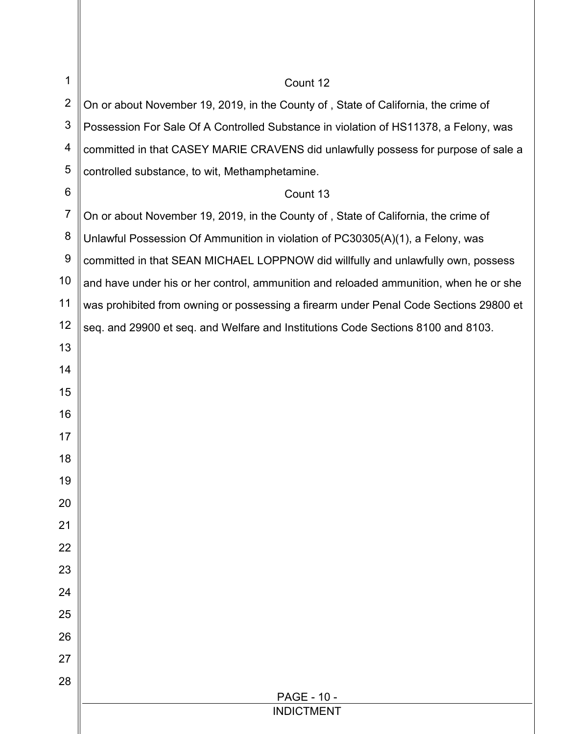| 1              | Count 12                                                                              |
|----------------|---------------------------------------------------------------------------------------|
| $\overline{2}$ | On or about November 19, 2019, in the County of, State of California, the crime of    |
| $\mathfrak{S}$ | Possession For Sale Of A Controlled Substance in violation of HS11378, a Felony, was  |
| 4              | committed in that CASEY MARIE CRAVENS did unlawfully possess for purpose of sale a    |
| 5              | controlled substance, to wit, Methamphetamine.                                        |
| $\,6$          | Count 13                                                                              |
| $\overline{7}$ | On or about November 19, 2019, in the County of, State of California, the crime of    |
| 8              | Unlawful Possession Of Ammunition in violation of PC30305(A)(1), a Felony, was        |
| 9              | committed in that SEAN MICHAEL LOPPNOW did willfully and unlawfully own, possess      |
| 10             | and have under his or her control, ammunition and reloaded ammunition, when he or she |
| 11             | was prohibited from owning or possessing a firearm under Penal Code Sections 29800 et |
| 12             | seq. and 29900 et seq. and Welfare and Institutions Code Sections 8100 and 8103.      |
| 13             |                                                                                       |
| 14             |                                                                                       |
| 15             |                                                                                       |
| 16             |                                                                                       |
| 17             |                                                                                       |
| 18             |                                                                                       |
| 19             |                                                                                       |
| 20             |                                                                                       |
| 21             |                                                                                       |
| 22             |                                                                                       |
| 23             |                                                                                       |
| 24             |                                                                                       |
| 25             |                                                                                       |
| 26             |                                                                                       |
| 27             |                                                                                       |
| 28             | PAGE - 10 -                                                                           |
|                | <b>INDICTMENT</b>                                                                     |
|                |                                                                                       |